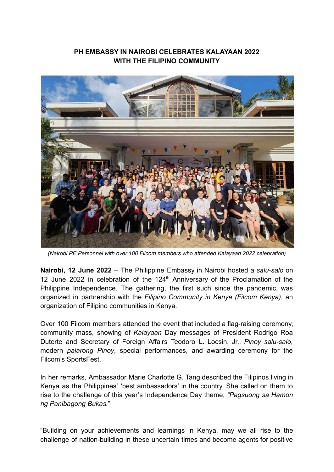## **PH EMBASSY IN NAIROBI CELEBRATES KALAYAAN 2022 WITH THE FILIPINO COMMUNITY**



*(Nairobi PE Personnel with over 100 Filcom members who attended Kalayaan 2022 celebration)*

**Nairobi, 12 June 2022** – The Philippine Embassy in Nairobi hosted a *salu-salo* on 12 June 2022 in celebration of the 124<sup>th</sup> Anniversary of the Proclamation of the Philippine Independence*.* The gathering, the first such since the pandemic, was organized in partnership with the *Filipino Community in Kenya (Filcom Kenya)*, an organization of Filipino communities in Kenya.

Over 100 Filcom members attended the event that included a flag-raising ceremony, community mass, showing of *Kalayaan* Day messages of President Rodrigo Roa Duterte and Secretary of Foreign Affairs Teodoro L. Locsin, Jr., *Pinoy salu-salo*, modern *palarong Pinoy*, special performances, and awarding ceremony for the Filcom's SportsFest.

In her remarks, Ambassador Marie Charlotte G. Tang described the Filipinos living in Kenya as the Philippines' 'best ambassadors' in the country. She called on them to rise to the challenge of this year's Independence Day theme, *"Pagsuong sa Hamon ng Panibagong Bukas.*"

"Building on your achievements and learnings in Kenya, may we all rise to the challenge of nation-building in these uncertain times and become agents for positive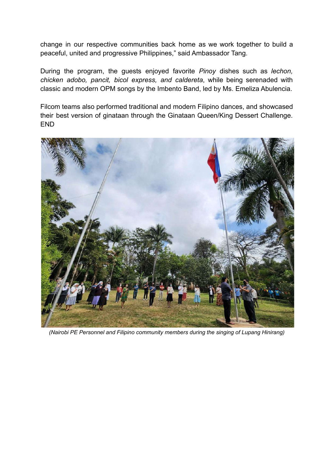change in our respective communities back home as we work together to build a peaceful, united and progressive Philippines," said Ambassador Tang.

During the program, the guests enjoyed favorite *Pinoy* dishes such as *lechon, chicken adobo, pancit, bicol express, and caldereta*, while being serenaded with classic and modern OPM songs by the Imbento Band, led by Ms. Emeliza Abulencia.

Filcom teams also performed traditional and modern Filipino dances, and showcased their best version of ginataan through the Ginataan Queen/King Dessert Challenge. END



*(Nairobi PE Personnel and Filipino community members during the singing of Lupang Hinirang)*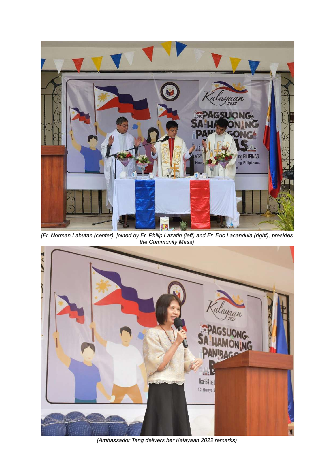

*(Fr. Norman Labutan (center), joined by Fr. Philip Lazatin (left) and Fr. Eric Lacandula (right), presides the Community Mass)*



*(Ambassador Tang delivers her Kalayaan 2022 remarks)*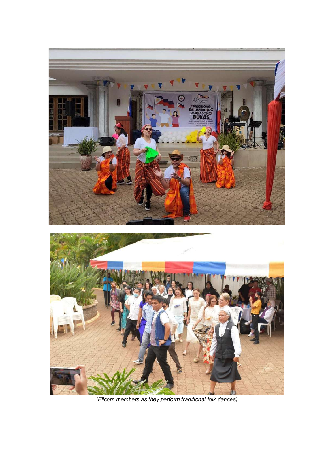

*(Filcom members as they perform traditional folk dances)*